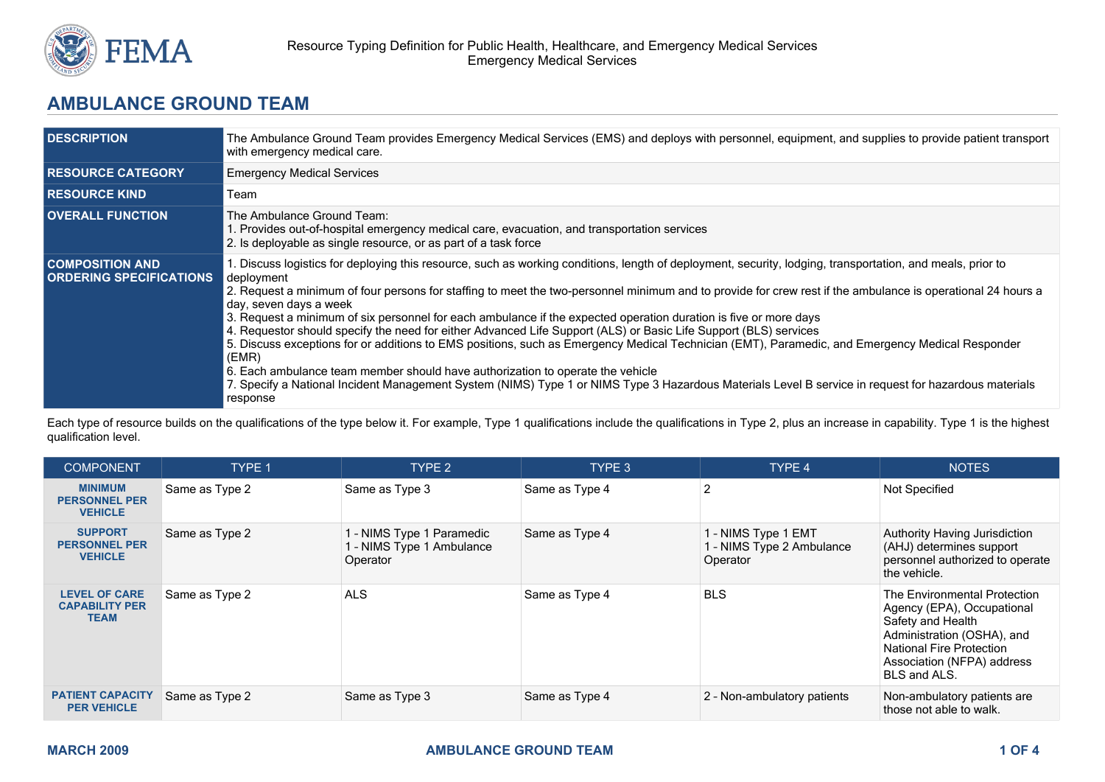

## **AMBULANCE GROUND TEAM**

| <b>DESCRIPTION</b>                                       | The Ambulance Ground Team provides Emergency Medical Services (EMS) and deploys with personnel, equipment, and supplies to provide patient transport<br>with emergency medical care.                                                                                                                                                                                                                                                                                                                                                                                                                                                                                                                                                                                                                                                                                                                                                                                                                                        |
|----------------------------------------------------------|-----------------------------------------------------------------------------------------------------------------------------------------------------------------------------------------------------------------------------------------------------------------------------------------------------------------------------------------------------------------------------------------------------------------------------------------------------------------------------------------------------------------------------------------------------------------------------------------------------------------------------------------------------------------------------------------------------------------------------------------------------------------------------------------------------------------------------------------------------------------------------------------------------------------------------------------------------------------------------------------------------------------------------|
| <b>RESOURCE CATEGORY</b>                                 | <b>Emergency Medical Services</b>                                                                                                                                                                                                                                                                                                                                                                                                                                                                                                                                                                                                                                                                                                                                                                                                                                                                                                                                                                                           |
| <b>RESOURCE KIND</b>                                     | Team                                                                                                                                                                                                                                                                                                                                                                                                                                                                                                                                                                                                                                                                                                                                                                                                                                                                                                                                                                                                                        |
| <b>OVERALL FUNCTION</b>                                  | The Ambulance Ground Team:<br>1. Provides out-of-hospital emergency medical care, evacuation, and transportation services<br>2. Is deployable as single resource, or as part of a task force                                                                                                                                                                                                                                                                                                                                                                                                                                                                                                                                                                                                                                                                                                                                                                                                                                |
| <b>COMPOSITION AND</b><br><b>ORDERING SPECIFICATIONS</b> | 1. Discuss logistics for deploying this resource, such as working conditions, length of deployment, security, lodging, transportation, and meals, prior to<br>deployment<br>2. Request a minimum of four persons for staffing to meet the two-personnel minimum and to provide for crew rest if the ambulance is operational 24 hours a<br>day, seven days a week<br>3. Request a minimum of six personnel for each ambulance if the expected operation duration is five or more days<br>4. Requestor should specify the need for either Advanced Life Support (ALS) or Basic Life Support (BLS) services<br>5. Discuss exceptions for or additions to EMS positions, such as Emergency Medical Technician (EMT), Paramedic, and Emergency Medical Responder<br>(EMR)<br>6. Each ambulance team member should have authorization to operate the vehicle<br>7. Specify a National Incident Management System (NIMS) Type 1 or NIMS Type 3 Hazardous Materials Level B service in request for hazardous materials<br>response |

Each type of resource builds on the qualifications of the type below it. For example, Type 1 qualifications include the qualifications in Type 2, plus an increase in capability. Type 1 is the highest qualification level.

| <b>COMPONENT</b>                                             | TYPE 1         | TYPE 2                                                             | TYPE 3         | TYPE 4                                                       | <b>NOTES</b>                                                                                                                                                                                   |
|--------------------------------------------------------------|----------------|--------------------------------------------------------------------|----------------|--------------------------------------------------------------|------------------------------------------------------------------------------------------------------------------------------------------------------------------------------------------------|
| <b>MINIMUM</b><br><b>PERSONNEL PER</b><br><b>VEHICLE</b>     | Same as Type 2 | Same as Type 3                                                     | Same as Type 4 | 2                                                            | Not Specified                                                                                                                                                                                  |
| <b>SUPPORT</b><br><b>PERSONNEL PER</b><br><b>VEHICLE</b>     | Same as Type 2 | 1 - NIMS Type 1 Paramedic<br>1 - NIMS Type 1 Ambulance<br>Operator | Same as Type 4 | 1 - NIMS Type 1 EMT<br>1 - NIMS Type 2 Ambulance<br>Operator | Authority Having Jurisdiction<br>(AHJ) determines support<br>personnel authorized to operate<br>the vehicle.                                                                                   |
| <b>LEVEL OF CARE</b><br><b>CAPABILITY PER</b><br><b>TEAM</b> | Same as Type 2 | <b>ALS</b>                                                         | Same as Type 4 | <b>BLS</b>                                                   | The Environmental Protection<br>Agency (EPA), Occupational<br>Safety and Health<br>Administration (OSHA), and<br><b>National Fire Protection</b><br>Association (NFPA) address<br>BLS and ALS. |
| <b>PATIENT CAPACITY</b><br><b>PER VEHICLE</b>                | Same as Type 2 | Same as Type 3                                                     | Same as Type 4 | 2 - Non-ambulatory patients                                  | Non-ambulatory patients are<br>those not able to walk.                                                                                                                                         |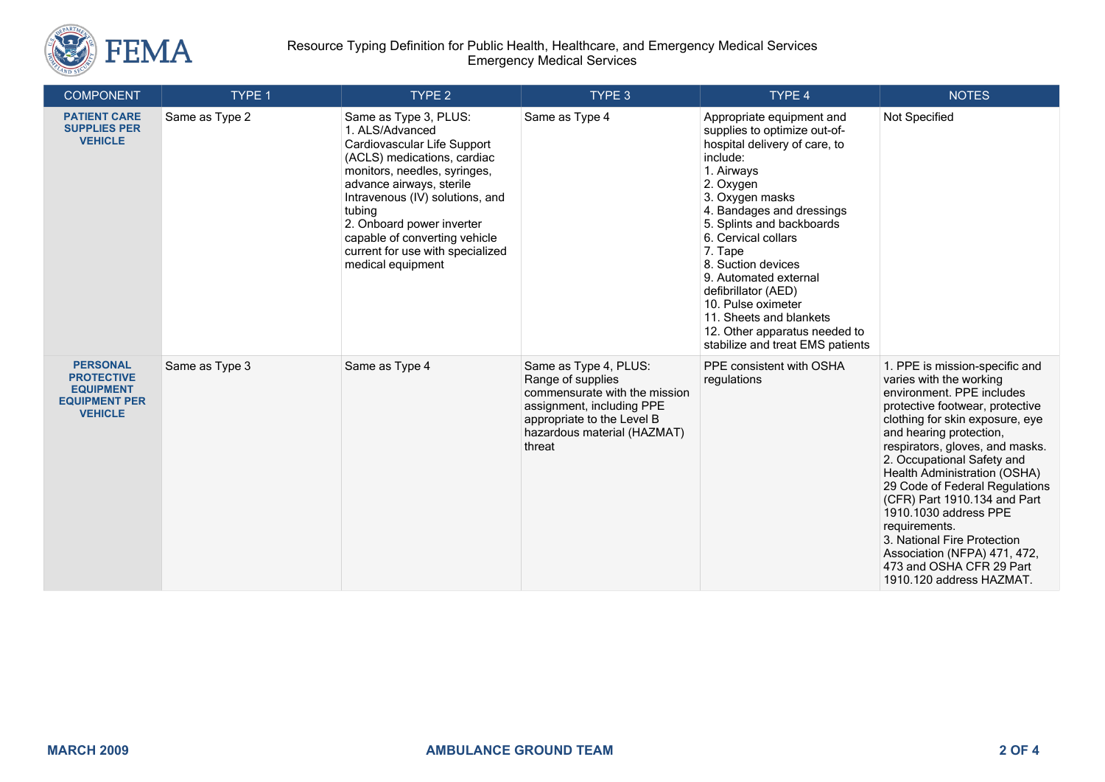

| <b>COMPONENT</b>                                                                                   | TYPE 1         | TYPE 2                                                                                                                                                                                                                                                                                                                                 | TYPE 3                                                                                                                                                                          | TYPE 4                                                                                                                                                                                                                                                                                                                                                                                                                                       | <b>NOTES</b>                                                                                                                                                                                                                                                                                                                                                                                                                                                                                                                |
|----------------------------------------------------------------------------------------------------|----------------|----------------------------------------------------------------------------------------------------------------------------------------------------------------------------------------------------------------------------------------------------------------------------------------------------------------------------------------|---------------------------------------------------------------------------------------------------------------------------------------------------------------------------------|----------------------------------------------------------------------------------------------------------------------------------------------------------------------------------------------------------------------------------------------------------------------------------------------------------------------------------------------------------------------------------------------------------------------------------------------|-----------------------------------------------------------------------------------------------------------------------------------------------------------------------------------------------------------------------------------------------------------------------------------------------------------------------------------------------------------------------------------------------------------------------------------------------------------------------------------------------------------------------------|
| <b>PATIENT CARE</b><br><b>SUPPLIES PER</b><br><b>VEHICLE</b>                                       | Same as Type 2 | Same as Type 3, PLUS:<br>1. ALS/Advanced<br>Cardiovascular Life Support<br>(ACLS) medications, cardiac<br>monitors, needles, syringes,<br>advance airways, sterile<br>Intravenous (IV) solutions, and<br>tubing<br>2. Onboard power inverter<br>capable of converting vehicle<br>current for use with specialized<br>medical equipment | Same as Type 4                                                                                                                                                                  | Appropriate equipment and<br>supplies to optimize out-of-<br>hospital delivery of care, to<br>include:<br>1. Airways<br>2. Oxygen<br>3. Oxygen masks<br>4. Bandages and dressings<br>5. Splints and backboards<br>6. Cervical collars<br>7. Tape<br>8. Suction devices<br>9. Automated external<br>defibrillator (AED)<br>10. Pulse oximeter<br>11. Sheets and blankets<br>12. Other apparatus needed to<br>stabilize and treat EMS patients | Not Specified                                                                                                                                                                                                                                                                                                                                                                                                                                                                                                               |
| <b>PERSONAL</b><br><b>PROTECTIVE</b><br><b>EQUIPMENT</b><br><b>EQUIPMENT PER</b><br><b>VEHICLE</b> | Same as Type 3 | Same as Type 4                                                                                                                                                                                                                                                                                                                         | Same as Type 4, PLUS:<br>Range of supplies<br>commensurate with the mission<br>assignment, including PPE<br>appropriate to the Level B<br>hazardous material (HAZMAT)<br>threat | PPE consistent with OSHA<br>regulations                                                                                                                                                                                                                                                                                                                                                                                                      | 1. PPE is mission-specific and<br>varies with the working<br>environment. PPE includes<br>protective footwear, protective<br>clothing for skin exposure, eye<br>and hearing protection,<br>respirators, gloves, and masks.<br>2. Occupational Safety and<br>Health Administration (OSHA)<br>29 Code of Federal Regulations<br>(CFR) Part 1910.134 and Part<br>1910.1030 address PPE<br>requirements.<br>3. National Fire Protection<br>Association (NFPA) 471, 472,<br>473 and OSHA CFR 29 Part<br>1910.120 address HAZMAT. |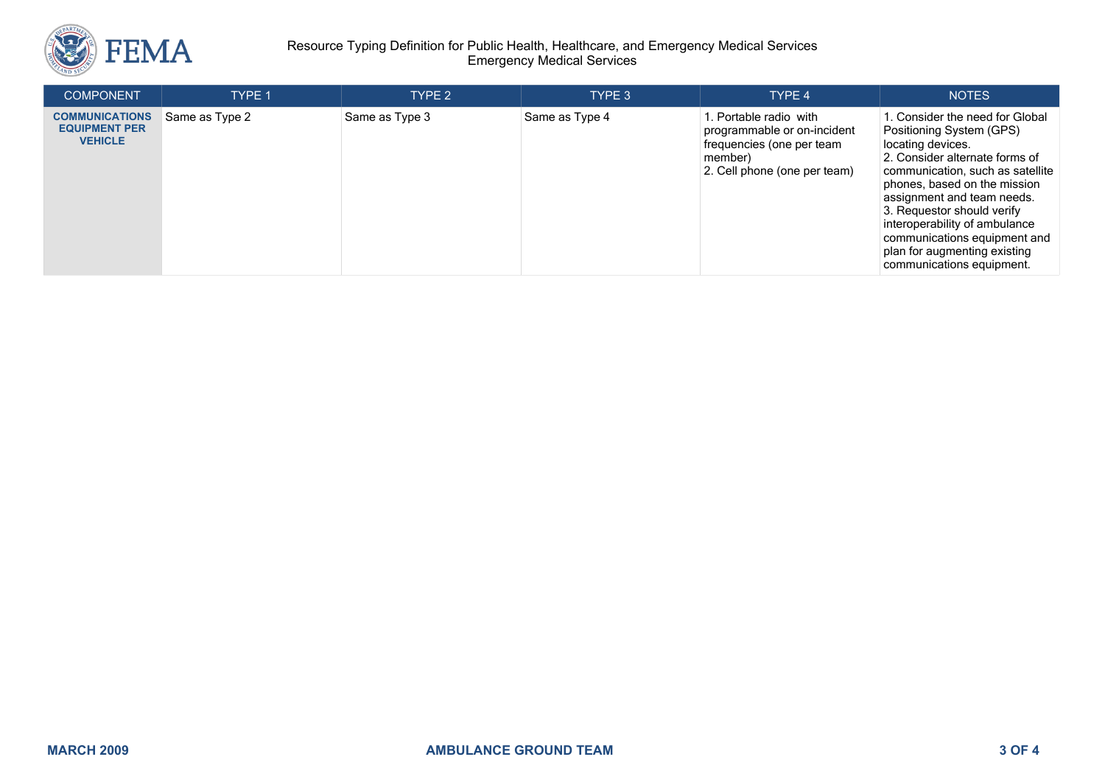

## Resource Typing Definition for Public Health, Healthcare, and Emergency Medical Services Emergency Medical Services

| <b>COMPONENT</b>                                                | <b>TYPE 1</b>  | TYPE 2         | TYPE 3         | TYPE 4                                                                                                                        | <b>NOTES</b>                                                                                                                                                                                                                                                                                                                                                                    |
|-----------------------------------------------------------------|----------------|----------------|----------------|-------------------------------------------------------------------------------------------------------------------------------|---------------------------------------------------------------------------------------------------------------------------------------------------------------------------------------------------------------------------------------------------------------------------------------------------------------------------------------------------------------------------------|
| <b>COMMUNICATIONS</b><br><b>EQUIPMENT PER</b><br><b>VEHICLE</b> | Same as Type 2 | Same as Type 3 | Same as Type 4 | 1. Portable radio with<br>programmable or on-incident<br>frequencies (one per team<br>member)<br>2. Cell phone (one per team) | . Consider the need for Global<br>Positioning System (GPS)<br>locating devices.<br>2. Consider alternate forms of<br>communication, such as satellite<br>phones, based on the mission<br>assignment and team needs.<br>3. Requestor should verify<br>interoperability of ambulance<br>communications equipment and<br>plan for augmenting existing<br>communications equipment. |